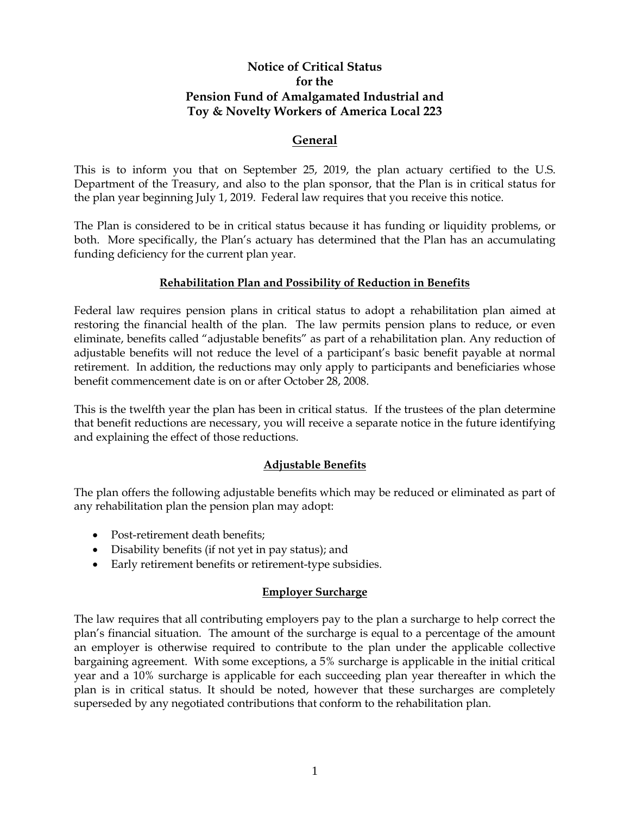# **Notice of Critical Status for the Pension Fund of Amalgamated Industrial and Toy & Novelty Workers of America Local 223**

## **General**

 This is to inform you that on September 25, 2019, the plan actuary certified to the U.S. Department of the Treasury, and also to the plan sponsor, that the Plan is in critical status for the plan year beginning July 1, 2019. Federal law requires that you receive this notice.

 The Plan is considered to be in critical status because it has funding or liquidity problems, or both. More specifically, the Plan's actuary has determined that the Plan has an accumulating funding deficiency for the current plan year.

## **Rehabilitation Plan and Possibility of Reduction in Benefits**

 Federal law requires pension plans in critical status to adopt a rehabilitation plan aimed at restoring the financial health of the plan. The law permits pension plans to reduce, or even eliminate, benefits called "adjustable benefits" as part of a rehabilitation plan. Any reduction of adjustable benefits will not reduce the level of a participant's basic benefit payable at normal retirement. In addition, the reductions may only apply to participants and beneficiaries whose benefit commencement date is on or after October 28, 2008.

 This is the twelfth year the plan has been in critical status. If the trustees of the plan determine that benefit reductions are necessary, you will receive a separate notice in the future identifying and explaining the effect of those reductions.

## **Adjustable Benefits**

The plan offers the following adjustable benefits which may be reduced or eliminated as part of any rehabilitation plan the pension plan may adopt:

- Post-retirement death benefits;
- Disability benefits (if not yet in pay status); and
- Early retirement benefits or retirement-type subsidies.

#### **Employer Surcharge**

 The law requires that all contributing employers pay to the plan a surcharge to help correct the an employer is otherwise required to contribute to the plan under the applicable collective bargaining agreement. With some exceptions, a 5% surcharge is applicable in the initial critical year and a 10% surcharge is applicable for each succeeding plan year thereafter in which the plan is in critical status. It should be noted, however that these surcharges are completely plan's financial situation. The amount of the surcharge is equal to a percentage of the amount superseded by any negotiated contributions that conform to the rehabilitation plan.